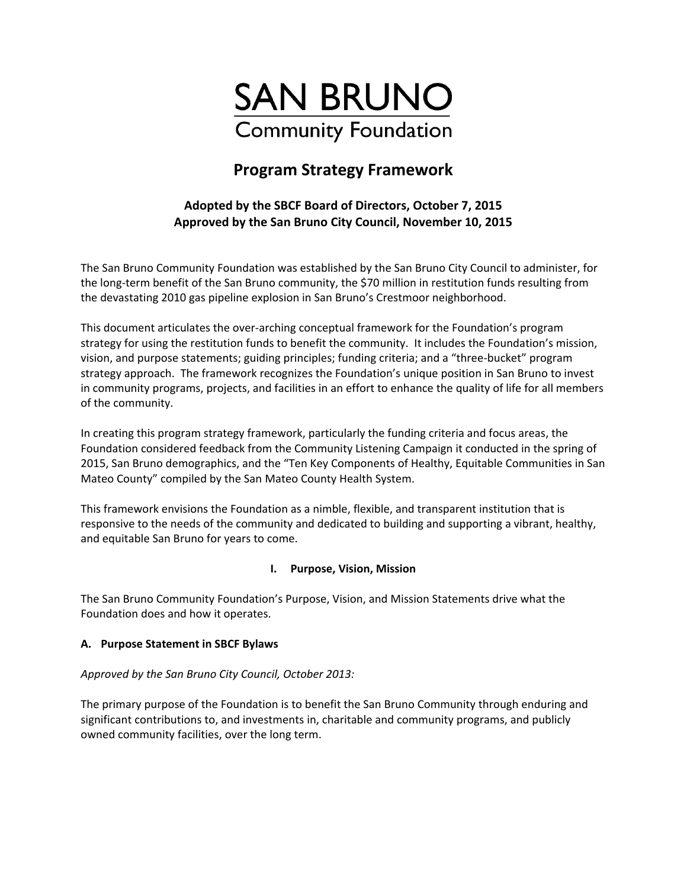

# **Program Strategy Framework**

## **Adopted by the SBCF Board of Directors, October 7, 2015 Approved by the San Bruno City Council, November 10, 2015**

The San Bruno Community Foundation was established by the San Bruno City Council to administer, for the long-term benefit of the San Bruno community, the \$70 million in restitution funds resulting from the devastating 2010 gas pipeline explosion in San Bruno's Crestmoor neighborhood.

This document articulates the over‐arching conceptual framework for the Foundation's program strategy for using the restitution funds to benefit the community. It includes the Foundation's mission, vision, and purpose statements; guiding principles; funding criteria; and a "three‐bucket" program strategy approach. The framework recognizes the Foundation's unique position in San Bruno to invest in community programs, projects, and facilities in an effort to enhance the quality of life for all members of the community.

In creating this program strategy framework, particularly the funding criteria and focus areas, the Foundation considered feedback from the Community Listening Campaign it conducted in the spring of 2015, San Bruno demographics, and the "Ten Key Components of Healthy, Equitable Communities in San Mateo County" compiled by the San Mateo County Health System.

This framework envisions the Foundation as a nimble, flexible, and transparent institution that is responsive to the needs of the community and dedicated to building and supporting a vibrant, healthy, and equitable San Bruno for years to come.

## **I. Purpose, Vision, Mission**

The San Bruno Community Foundation's Purpose, Vision, and Mission Statements drive what the Foundation does and how it operates.

## **A. Purpose Statement in SBCF Bylaws**

## *Approved by the San Bruno City Council, October 2013:*

The primary purpose of the Foundation is to benefit the San Bruno Community through enduring and significant contributions to, and investments in, charitable and community programs, and publicly owned community facilities, over the long term.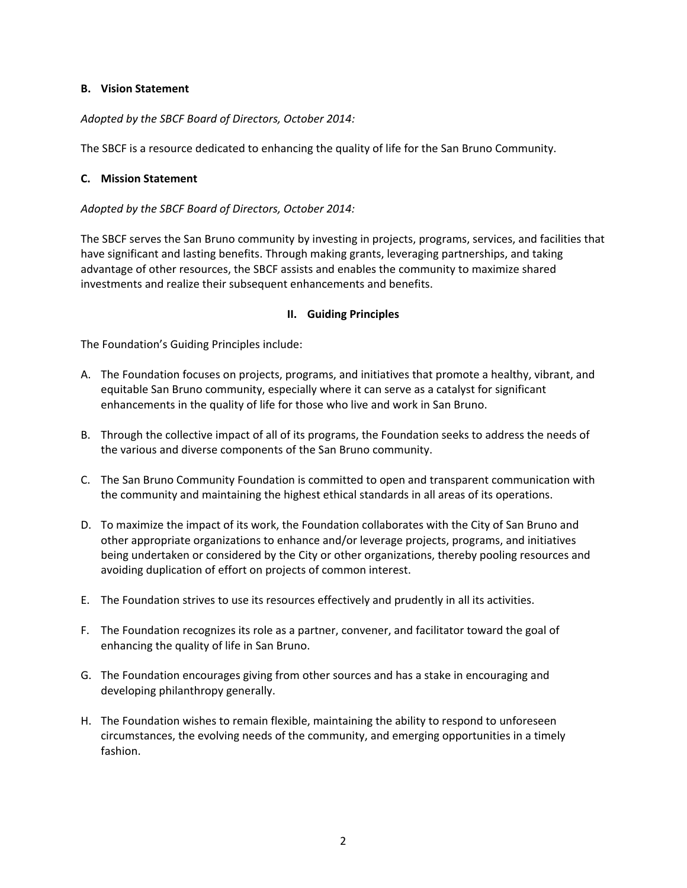#### **B. Vision Statement**

#### *Adopted by the SBCF Board of Directors, October 2014:*

The SBCF is a resource dedicated to enhancing the quality of life for the San Bruno Community.

#### **C. Mission Statement**

*Adopted by the SBCF Board of Directors, October 2014:* 

The SBCF serves the San Bruno community by investing in projects, programs, services, and facilities that have significant and lasting benefits. Through making grants, leveraging partnerships, and taking advantage of other resources, the SBCF assists and enables the community to maximize shared investments and realize their subsequent enhancements and benefits.

#### **II. Guiding Principles**

The Foundation's Guiding Principles include:

- A. The Foundation focuses on projects, programs, and initiatives that promote a healthy, vibrant, and equitable San Bruno community, especially where it can serve as a catalyst for significant enhancements in the quality of life for those who live and work in San Bruno.
- B. Through the collective impact of all of its programs, the Foundation seeks to address the needs of the various and diverse components of the San Bruno community.
- C. The San Bruno Community Foundation is committed to open and transparent communication with the community and maintaining the highest ethical standards in all areas of its operations.
- D. To maximize the impact of its work, the Foundation collaborates with the City of San Bruno and other appropriate organizations to enhance and/or leverage projects, programs, and initiatives being undertaken or considered by the City or other organizations, thereby pooling resources and avoiding duplication of effort on projects of common interest.
- E. The Foundation strives to use its resources effectively and prudently in all its activities.
- F. The Foundation recognizes its role as a partner, convener, and facilitator toward the goal of enhancing the quality of life in San Bruno.
- G. The Foundation encourages giving from other sources and has a stake in encouraging and developing philanthropy generally.
- H. The Foundation wishes to remain flexible, maintaining the ability to respond to unforeseen circumstances, the evolving needs of the community, and emerging opportunities in a timely fashion.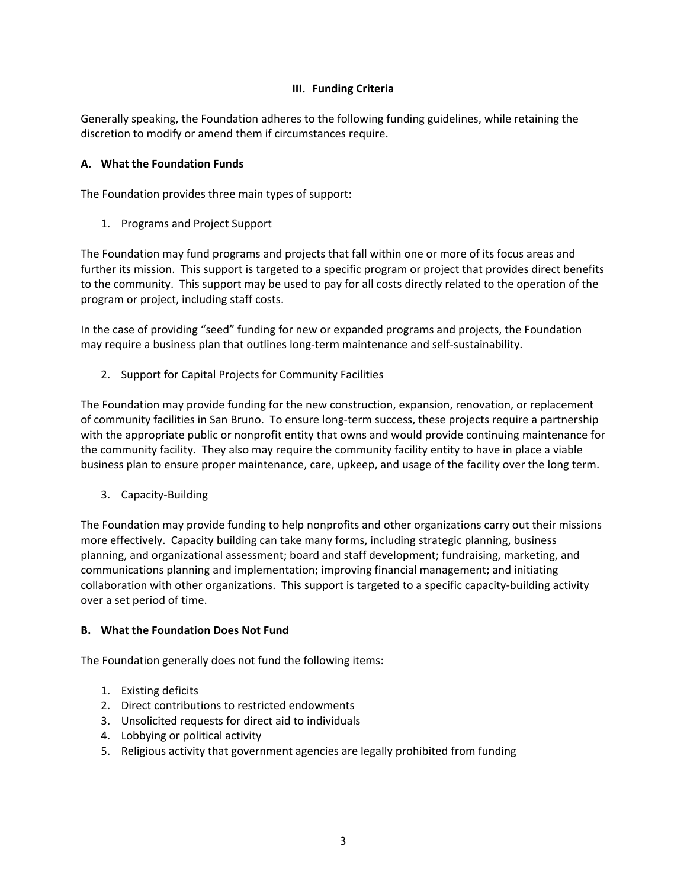#### **III. Funding Criteria**

Generally speaking, the Foundation adheres to the following funding guidelines, while retaining the discretion to modify or amend them if circumstances require.

#### **A. What the Foundation Funds**

The Foundation provides three main types of support:

1. Programs and Project Support

The Foundation may fund programs and projects that fall within one or more of its focus areas and further its mission. This support is targeted to a specific program or project that provides direct benefits to the community. This support may be used to pay for all costs directly related to the operation of the program or project, including staff costs.

In the case of providing "seed" funding for new or expanded programs and projects, the Foundation may require a business plan that outlines long-term maintenance and self-sustainability.

2. Support for Capital Projects for Community Facilities

The Foundation may provide funding for the new construction, expansion, renovation, or replacement of community facilities in San Bruno. To ensure long‐term success, these projects require a partnership with the appropriate public or nonprofit entity that owns and would provide continuing maintenance for the community facility. They also may require the community facility entity to have in place a viable business plan to ensure proper maintenance, care, upkeep, and usage of the facility over the long term.

3. Capacity‐Building

The Foundation may provide funding to help nonprofits and other organizations carry out their missions more effectively. Capacity building can take many forms, including strategic planning, business planning, and organizational assessment; board and staff development; fundraising, marketing, and communications planning and implementation; improving financial management; and initiating collaboration with other organizations. This support is targeted to a specific capacity‐building activity over a set period of time.

#### **B. What the Foundation Does Not Fund**

The Foundation generally does not fund the following items:

- 1. Existing deficits
- 2. Direct contributions to restricted endowments
- 3. Unsolicited requests for direct aid to individuals
- 4. Lobbying or political activity
- 5. Religious activity that government agencies are legally prohibited from funding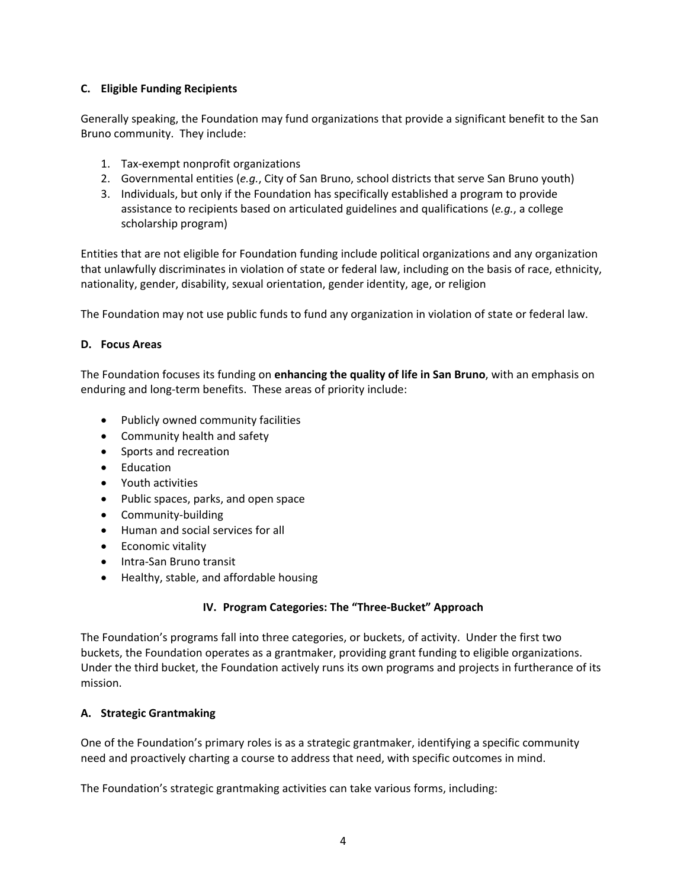### **C. Eligible Funding Recipients**

Generally speaking, the Foundation may fund organizations that provide a significant benefit to the San Bruno community. They include:

- 1. Tax‐exempt nonprofit organizations
- 2. Governmental entities (*e.g.*, City of San Bruno, school districts that serve San Bruno youth)
- 3. Individuals, but only if the Foundation has specifically established a program to provide assistance to recipients based on articulated guidelines and qualifications (*e.g.*, a college scholarship program)

Entities that are not eligible for Foundation funding include political organizations and any organization that unlawfully discriminates in violation of state or federal law, including on the basis of race, ethnicity, nationality, gender, disability, sexual orientation, gender identity, age, or religion

The Foundation may not use public funds to fund any organization in violation of state or federal law.

#### **D. Focus Areas**

The Foundation focuses its funding on **enhancing the quality of life in San Bruno**, with an emphasis on enduring and long-term benefits. These areas of priority include:

- Publicly owned community facilities
- Community health and safety
- Sports and recreation
- Education
- Youth activities
- Public spaces, parks, and open space
- Community-building
- Human and social services for all
- Economic vitality
- Intra-San Bruno transit
- Healthy, stable, and affordable housing

#### **IV. Program Categories: The "Three‐Bucket" Approach**

The Foundation's programs fall into three categories, or buckets, of activity. Under the first two buckets, the Foundation operates as a grantmaker, providing grant funding to eligible organizations. Under the third bucket, the Foundation actively runs its own programs and projects in furtherance of its mission.

#### **A. Strategic Grantmaking**

One of the Foundation's primary roles is as a strategic grantmaker, identifying a specific community need and proactively charting a course to address that need, with specific outcomes in mind.

The Foundation's strategic grantmaking activities can take various forms, including: